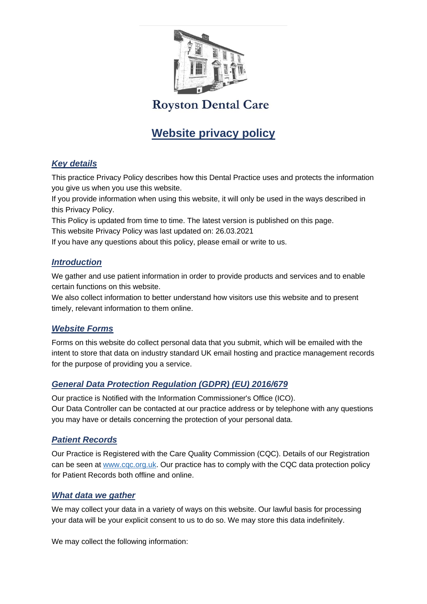

# **Website privacy policy**

### *Key details*

This practice Privacy Policy describes how this Dental Practice uses and protects the information you give us when you use this website.

If you provide information when using this website, it will only be used in the ways described in this Privacy Policy.

This Policy is updated from time to time. The latest version is published on this page.

This website Privacy Policy was last updated on: 26.03.2021

If you have any questions about this policy, please email or write to us.

#### *Introduction*

We gather and use patient information in order to provide products and services and to enable certain functions on this website.

We also collect information to better understand how visitors use this website and to present timely, relevant information to them online.

### *Website Forms*

Forms on this website do collect personal data that you submit, which will be emailed with the intent to store that data on industry standard UK email hosting and practice management records for the purpose of providing you a service.

### *General Data Protection Regulation (GDPR) (EU) 2016/679*

Our practice is Notified with the Information Commissioner's Office (ICO). Our Data Controller can be contacted at our practice address or by telephone with any questions you may have or details concerning the protection of your personal data.

### *Patient Records*

Our Practice is Registered with the Care Quality Commission (CQC). Details of our Registration can be seen at [www.cqc.org.uk.](https://www.cqc.org.uk/) Our practice has to comply with the CQC data protection policy for Patient Records both offline and online.

#### *What data we gather*

We may collect your data in a variety of ways on this website. Our lawful basis for processing your data will be your explicit consent to us to do so. We may store this data indefinitely.

We may collect the following information: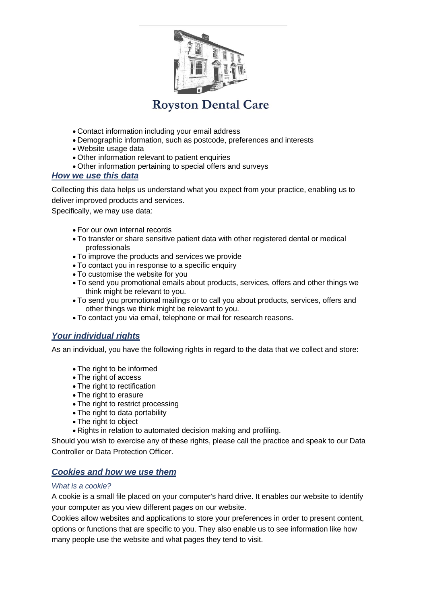

- Contact information including your email address
- Demographic information, such as postcode, preferences and interests
- Website usage data
- Other information relevant to patient enquiries
- Other information pertaining to special offers and surveys

#### *How we use this data*

Collecting this data helps us understand what you expect from your practice, enabling us to deliver improved products and services.

Specifically, we may use data:

- For our own internal records
- To transfer or share sensitive patient data with other registered dental or medical professionals
- To improve the products and services we provide
- To contact you in response to a specific enquiry
- To customise the website for you
- To send you promotional emails about products, services, offers and other things we think might be relevant to you.
- To send you promotional mailings or to call you about products, services, offers and other things we think might be relevant to you.
- To contact you via email, telephone or mail for research reasons.

### *Your individual rights*

As an individual, you have the following rights in regard to the data that we collect and store:

- The right to be informed
- The right of access
- The right to rectification
- The right to erasure
- The right to restrict processing
- The right to data portability
- The right to object
- Rights in relation to automated decision making and profiling.

Should you wish to exercise any of these rights, please call the practice and speak to our Data Controller or Data Protection Officer.

### *Cookies and how we use them*

#### *What is a cookie?*

A cookie is a small file placed on your computer's hard drive. It enables our website to identify your computer as you view different pages on our website.

Cookies allow websites and applications to store your preferences in order to present content, options or functions that are specific to you. They also enable us to see information like how many people use the website and what pages they tend to visit.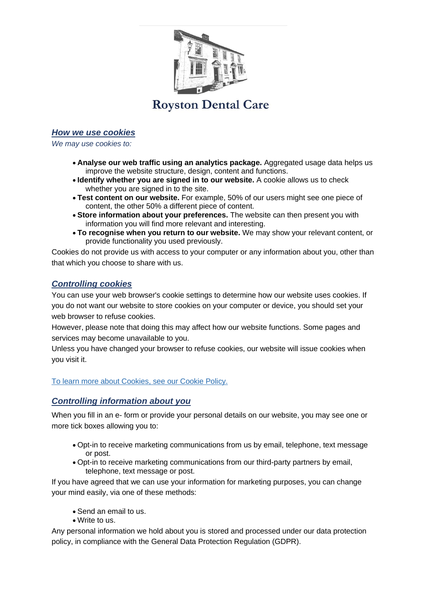

#### *How we use cookies*

*We may use cookies to:*

- **Analyse our web traffic using an analytics package.** Aggregated usage data helps us improve the website structure, design, content and functions.
- **Identify whether you are signed in to our website.** A cookie allows us to check whether you are signed in to the site.
- **Test content on our website.** For example, 50% of our users might see one piece of content, the other 50% a different piece of content.
- **Store information about your preferences.** The website can then present you with information you will find more relevant and interesting.
- **To recognise when you return to our website.** We may show your relevant content, or provide functionality you used previously.

Cookies do not provide us with access to your computer or any information about you, other than that which you choose to share with us.

#### *Controlling cookies*

You can use your web browser's cookie settings to determine how our website uses cookies. If you do not want our website to store cookies on your computer or device, you should set your web browser to refuse cookies.

However, please note that doing this may affect how our website functions. Some pages and services may become unavailable to you.

Unless you have changed your browser to refuse cookies, our website will issue cookies when you visit it.

[To learn more about Cookies, see our Cookie Policy.](https://www.dental-focus.com/cookie-policy/dental-focus-cookies.php)

#### *Controlling information about you*

When you fill in an e- form or provide your personal details on our website, you may see one or more tick boxes allowing you to:

- Opt-in to receive marketing communications from us by email, telephone, text message or post.
- Opt-in to receive marketing communications from our third-party partners by email, telephone, text message or post.

If you have agreed that we can use your information for marketing purposes, you can change your mind easily, via one of these methods:

- Send an email to us.
- Write to us.

Any personal information we hold about you is stored and processed under our data protection policy, in compliance with the General Data Protection Regulation (GDPR).